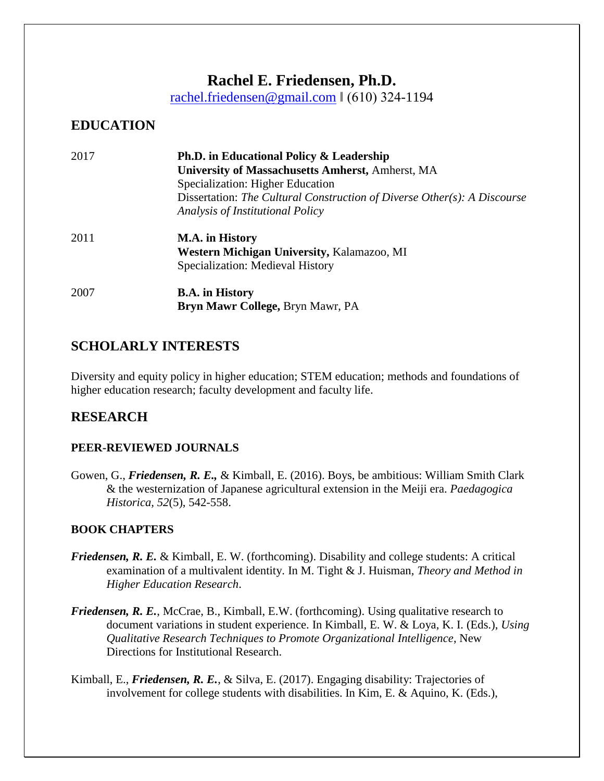# **Rachel E. Friedensen, Ph.D.**

[rachel.friedensen@gmail.com](mailto:rachel.friedensen@gmail.com) ‖ (610) 324-1194

# **EDUCATION**

| 2017 | Ph.D. in Educational Policy & Leadership<br>University of Massachusetts Amherst, Amherst, MA<br>Specialization: Higher Education<br>Dissertation: The Cultural Construction of Diverse Other(s): A Discourse<br>Analysis of Institutional Policy |
|------|--------------------------------------------------------------------------------------------------------------------------------------------------------------------------------------------------------------------------------------------------|
| 2011 | M.A. in History<br>Western Michigan University, Kalamazoo, MI<br>Specialization: Medieval History                                                                                                                                                |
| 2007 | <b>B.A.</b> in History<br><b>Bryn Mawr College, Bryn Mawr, PA</b>                                                                                                                                                                                |

# **SCHOLARLY INTERESTS**

Diversity and equity policy in higher education; STEM education; methods and foundations of higher education research; faculty development and faculty life.

# **RESEARCH**

## **PEER-REVIEWED JOURNALS**

Gowen, G., *Friedensen, R. E.,* & Kimball, E. (2016). Boys, be ambitious: William Smith Clark & the westernization of Japanese agricultural extension in the Meiji era. *Paedagogica Historica, 52*(5), 542-558.

## **BOOK CHAPTERS**

- *Friedensen, R. E.* & Kimball, E. W. (forthcoming). Disability and college students: A critical examination of a multivalent identity. In M. Tight & J. Huisman, *Theory and Method in Higher Education Research*.
- *Friedensen, R. E., McCrae, B., Kimball, E.W. (forthcoming). Using qualitative research to* document variations in student experience. In Kimball, E. W. & Loya, K. I. (Eds.), *Using Qualitative Research Techniques to Promote Organizational Intelligence*, New Directions for Institutional Research.
- Kimball, E., *Friedensen, R. E.*, & Silva, E. (2017). Engaging disability: Trajectories of involvement for college students with disabilities. In Kim, E. & Aquino, K. (Eds.),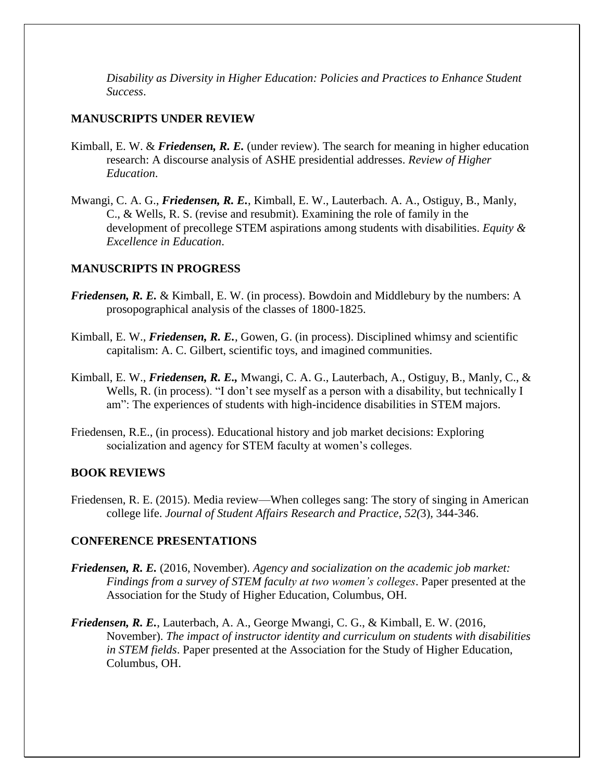*Disability as Diversity in Higher Education: Policies and Practices to Enhance Student Success*.

#### **MANUSCRIPTS UNDER REVIEW**

- Kimball, E. W. & *Friedensen, R. E.* (under review). The search for meaning in higher education research: A discourse analysis of ASHE presidential addresses. *Review of Higher Education*.
- Mwangi, C. A. G., *Friedensen, R. E.*, Kimball, E. W., Lauterbach. A. A., Ostiguy, B., Manly, C., & Wells, R. S. (revise and resubmit). Examining the role of family in the development of precollege STEM aspirations among students with disabilities. *Equity & Excellence in Education*.

#### **MANUSCRIPTS IN PROGRESS**

- *Friedensen, R. E. & Kimball, E. W. (in process). Bowdoin and Middlebury by the numbers: A* prosopographical analysis of the classes of 1800-1825.
- Kimball, E. W., *Friedensen, R. E.*, Gowen, G. (in process). Disciplined whimsy and scientific capitalism: A. C. Gilbert, scientific toys, and imagined communities.
- Kimball, E. W., *Friedensen, R. E.,* Mwangi, C. A. G., Lauterbach, A., Ostiguy, B., Manly, C., & Wells, R. (in process). "I don't see myself as a person with a disability, but technically I am": The experiences of students with high-incidence disabilities in STEM majors.
- Friedensen, R.E., (in process). Educational history and job market decisions: Exploring socialization and agency for STEM faculty at women's colleges.

#### **BOOK REVIEWS**

Friedensen, R. E. (2015). Media review—When colleges sang: The story of singing in American college life. *Journal of Student Affairs Research and Practice*, *52(*3), 344-346.

#### **CONFERENCE PRESENTATIONS**

- *Friedensen, R. E.* (2016, November). *Agency and socialization on the academic job market: Findings from a survey of STEM faculty at two women's colleges*. Paper presented at the Association for the Study of Higher Education, Columbus, OH.
- *Friedensen, R. E.*, Lauterbach, A. A., George Mwangi, C. G., & Kimball, E. W. (2016, November). *The impact of instructor identity and curriculum on students with disabilities in STEM fields*. Paper presented at the Association for the Study of Higher Education, Columbus, OH.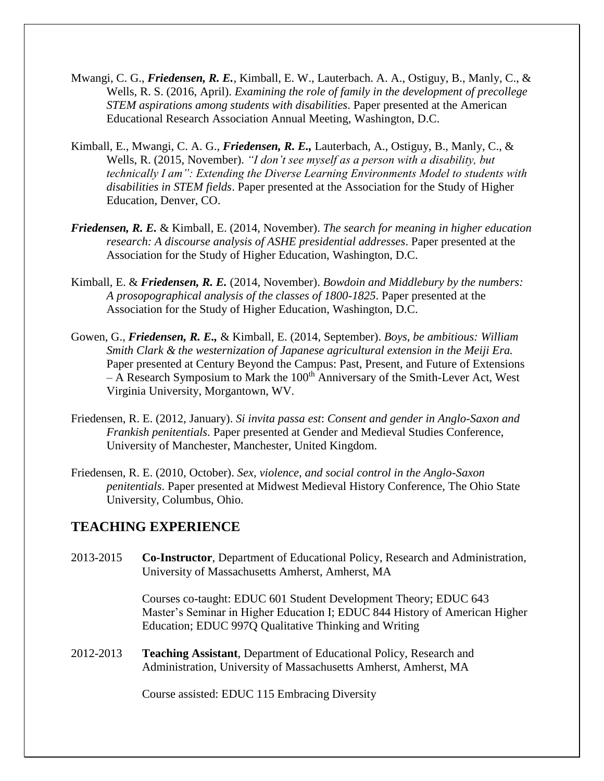- Mwangi, C. G., *Friedensen, R. E.*, Kimball, E. W., Lauterbach. A. A., Ostiguy, B., Manly, C., & Wells, R. S. (2016, April). *Examining the role of family in the development of precollege STEM aspirations among students with disabilities*. Paper presented at the American Educational Research Association Annual Meeting, Washington, D.C.
- Kimball, E., Mwangi, C. A. G., *Friedensen, R. E.,* Lauterbach, A., Ostiguy, B., Manly, C., & Wells, R. (2015, November). *"I don't see myself as a person with a disability, but technically I am": Extending the Diverse Learning Environments Model to students with disabilities in STEM fields*. Paper presented at the Association for the Study of Higher Education, Denver, CO.
- *Friedensen, R. E.* & Kimball, E. (2014, November). *The search for meaning in higher education research: A discourse analysis of ASHE presidential addresses*. Paper presented at the Association for the Study of Higher Education, Washington, D.C.
- Kimball, E. & *Friedensen, R. E.* (2014, November). *Bowdoin and Middlebury by the numbers: A prosopographical analysis of the classes of 1800-1825*. Paper presented at the Association for the Study of Higher Education, Washington, D.C.
- Gowen, G., *Friedensen, R. E.,* & Kimball, E. (2014, September). *Boys, be ambitious: William Smith Clark & the westernization of Japanese agricultural extension in the Meiji Era.* Paper presented at Century Beyond the Campus: Past, Present, and Future of Extensions  $-$  A Research Symposium to Mark the 100<sup>th</sup> Anniversary of the Smith-Lever Act, West Virginia University, Morgantown, WV.
- Friedensen, R. E. (2012, January). *Si invita passa est*: *Consent and gender in Anglo-Saxon and Frankish penitentials.* Paper presented at Gender and Medieval Studies Conference, University of Manchester, Manchester, United Kingdom.
- Friedensen, R. E. (2010, October). *Sex, violence, and social control in the Anglo-Saxon penitentials*. Paper presented at Midwest Medieval History Conference, The Ohio State University, Columbus, Ohio.

## **TEACHING EXPERIENCE**

2013-2015 **Co-Instructor**, Department of Educational Policy, Research and Administration, University of Massachusetts Amherst, Amherst, MA

> Courses co-taught: EDUC 601 Student Development Theory; EDUC 643 Master's Seminar in Higher Education I; EDUC 844 History of American Higher Education; EDUC 997Q Qualitative Thinking and Writing

2012-2013 **Teaching Assistant**, Department of Educational Policy, Research and Administration, University of Massachusetts Amherst, Amherst, MA

Course assisted: EDUC 115 Embracing Diversity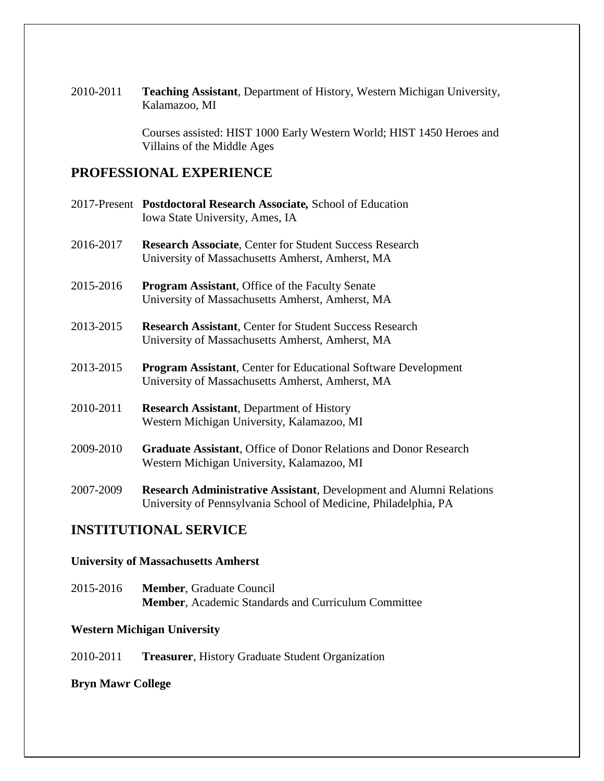2010-2011 **Teaching Assistant**, Department of History, Western Michigan University, Kalamazoo, MI

> Courses assisted: HIST 1000 Early Western World; HIST 1450 Heroes and Villains of the Middle Ages

## **PROFESSIONAL EXPERIENCE**

|           | 2017-Present Postdoctoral Research Associate, School of Education<br>Iowa State University, Ames, IA                                          |
|-----------|-----------------------------------------------------------------------------------------------------------------------------------------------|
| 2016-2017 | <b>Research Associate, Center for Student Success Research</b><br>University of Massachusetts Amherst, Amherst, MA                            |
| 2015-2016 | <b>Program Assistant, Office of the Faculty Senate</b><br>University of Massachusetts Amherst, Amherst, MA                                    |
| 2013-2015 | <b>Research Assistant, Center for Student Success Research</b><br>University of Massachusetts Amherst, Amherst, MA                            |
| 2013-2015 | <b>Program Assistant, Center for Educational Software Development</b><br>University of Massachusetts Amherst, Amherst, MA                     |
| 2010-2011 | <b>Research Assistant</b> , Department of History<br>Western Michigan University, Kalamazoo, MI                                               |
| 2009-2010 | <b>Graduate Assistant, Office of Donor Relations and Donor Research</b><br>Western Michigan University, Kalamazoo, MI                         |
| 2007-2009 | <b>Research Administrative Assistant, Development and Alumni Relations</b><br>University of Pennsylvania School of Medicine, Philadelphia, PA |

## **INSTITUTIONAL SERVICE**

### **University of Massachusetts Amherst**

2015-2016 **Member**, Graduate Council **Member**, Academic Standards and Curriculum Committee

## **Western Michigan University**

2010-2011 **Treasurer**, History Graduate Student Organization

## **Bryn Mawr College**